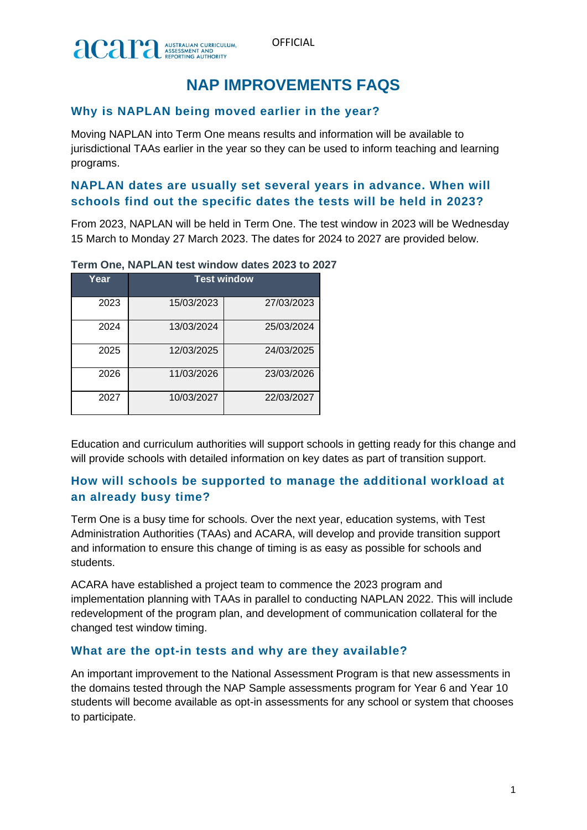

# **NAP IMPROVEMENTS FAQS**

# **Why is NAPLAN being moved earlier in the year?**

Moving NAPLAN into Term One means results and information will be available to jurisdictional TAAs earlier in the year so they can be used to inform teaching and learning programs.

### **NAPLAN dates are usually set several years in advance. When will schools find out the specific dates the tests will be held in 2023?**

From 2023, NAPLAN will be held in Term One. The test window in 2023 will be Wednesday 15 March to Monday 27 March 2023. The dates for 2024 to 2027 are provided below.

| Year | <b>Test window</b> |            |
|------|--------------------|------------|
| 2023 | 15/03/2023         | 27/03/2023 |
| 2024 | 13/03/2024         | 25/03/2024 |
| 2025 | 12/03/2025         | 24/03/2025 |
| 2026 | 11/03/2026         | 23/03/2026 |
| 2027 | 10/03/2027         | 22/03/2027 |

**Term One, NAPLAN test window dates 2023 to 2027**

Education and curriculum authorities will support schools in getting ready for this change and will provide schools with detailed information on key dates as part of transition support.

# **How will schools be supported to manage the additional workload at an already busy time?**

Term One is a busy time for schools. Over the next year, education systems, with Test Administration Authorities (TAAs) and ACARA, will develop and provide transition support and information to ensure this change of timing is as easy as possible for schools and students.

ACARA have established a project team to commence the 2023 program and implementation planning with TAAs in parallel to conducting NAPLAN 2022. This will include redevelopment of the program plan, and development of communication collateral for the changed test window timing.

### **What are the opt-in tests and why are they available?**

An important improvement to the National Assessment Program is that new assessments in the domains tested through the NAP Sample assessments program for Year 6 and Year 10 students will become available as opt-in assessments for any school or system that chooses to participate.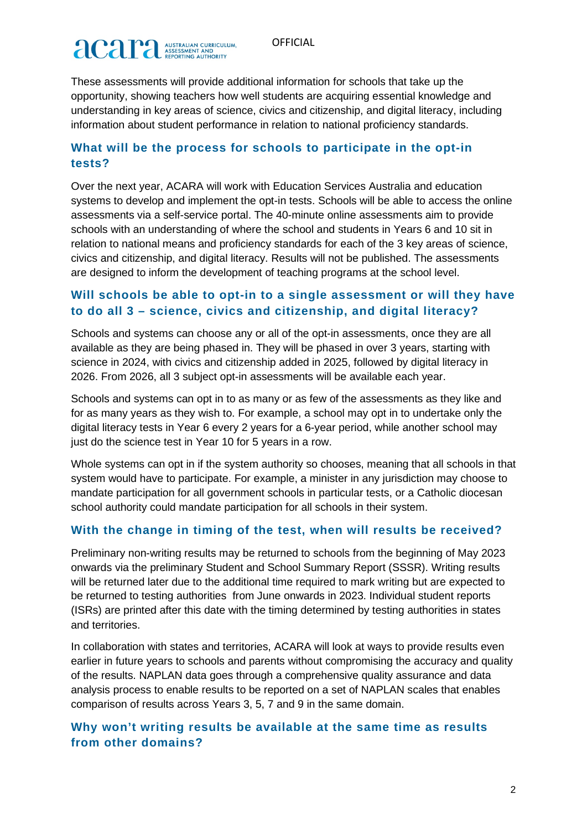# **acaritan CURRICULAR ASSESSMENT AND**

These assessments will provide additional information for schools that take up the opportunity, showing teachers how well students are acquiring essential knowledge and understanding in key areas of science, civics and citizenship, and digital literacy, including information about student performance in relation to national proficiency standards.

# **What will be the process for schools to participate in the opt-in tests?**

Over the next year, ACARA will work with Education Services Australia and education systems to develop and implement the opt-in tests. Schools will be able to access the online assessments via a self-service portal. The 40-minute online assessments aim to provide schools with an understanding of where the school and students in Years 6 and 10 sit in relation to national means and proficiency standards for each of the 3 key areas of science, civics and citizenship, and digital literacy. Results will not be published. The assessments are designed to inform the development of teaching programs at the school level.

# **Will schools be able to opt-in to a single assessment or will they have to do all 3 – science, civics and citizenship, and digital literacy?**

Schools and systems can choose any or all of the opt-in assessments, once they are all available as they are being phased in. They will be phased in over 3 years, starting with science in 2024, with civics and citizenship added in 2025, followed by digital literacy in 2026. From 2026, all 3 subject opt-in assessments will be available each year.

Schools and systems can opt in to as many or as few of the assessments as they like and for as many years as they wish to. For example, a school may opt in to undertake only the digital literacy tests in Year 6 every 2 years for a 6-year period, while another school may just do the science test in Year 10 for 5 years in a row.

Whole systems can opt in if the system authority so chooses, meaning that all schools in that system would have to participate. For example, a minister in any jurisdiction may choose to mandate participation for all government schools in particular tests, or a Catholic diocesan school authority could mandate participation for all schools in their system.

### **With the change in timing of the test, when will results be received?**

Preliminary non-writing results may be returned to schools from the beginning of May 2023 onwards via the preliminary Student and School Summary Report (SSSR). Writing results will be returned later due to the additional time required to mark writing but are expected to be returned to testing authorities from June onwards in 2023. Individual student reports (ISRs) are printed after this date with the timing determined by testing authorities in states and territories.

In collaboration with states and territories, ACARA will look at ways to provide results even earlier in future years to schools and parents without compromising the accuracy and quality of the results. NAPLAN data goes through a comprehensive quality assurance and data analysis process to enable results to be reported on a set of NAPLAN scales that enables comparison of results across Years 3, 5, 7 and 9 in the same domain.

# **Why won't writing results be available at the same time as results from other domains?**